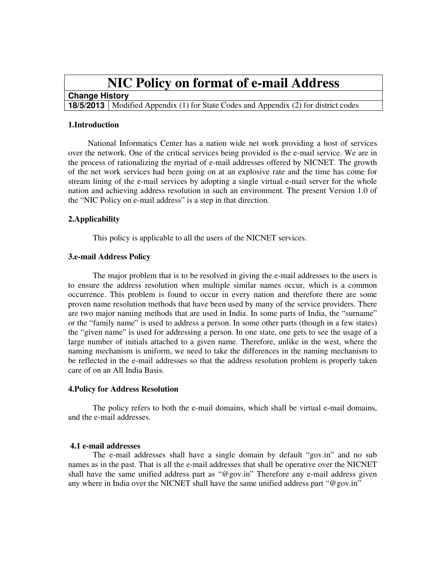# **NIC Policy on format of e-mail Address**

## **Change History**

**18/5/2013** Modified Appendix (1) for State Codes and Appendix (2) for district codes

#### **1.Introduction**

National Informatics Center has a nation wide net work providing a host of services over the network. One of the critical services being provided is the e-mail service. We are in the process of rationalizing the myriad of e-mail addresses offered by NICNET. The growth of the net work services had been going on at an explosive rate and the time has come for stream lining of the e-mail services by adopting a single virtual e-mail server for the whole nation and achieving address resolution in such an environment. The present Version 1.0 of the "NIC Policy on e-mail address" is a step in that direction.

#### **2.Applicability**

This policy is applicable to all the users of the NICNET services.

#### **3.e-mail Address Policy**

The major problem that is to be resolved in giving the e-mail addresses to the users is to ensure the address resolution when multiple similar names occur, which is a common occurrence. This problem is found to occur in every nation and therefore there are some proven name resolution methods that have been used by many of the service providers. There are two major naming methods that are used in India. In some parts of India, the "surname" or the "family name" is used to address a person. In some other parts (though in a few states) the "given name" is used for addressing a person. In one state, one gets to see the usage of a large number of initials attached to a given name. Therefore, unlike in the west, where the naming mechanism is uniform, we need to take the differences in the naming mechanism to be reflected in the e-mail addresses so that the address resolution problem is properly taken care of on an All India Basis.

#### **4.Policy for Address Resolution**

The policy refers to both the e-mail domains, which shall be virtual e-mail domains, and the e-mail addresses.

#### **4.1 e-mail addresses**

The e-mail addresses shall have a single domain by default "gov.in" and no sub names as in the past. That is all the e-mail addresses that shall be operative over the NICNET shall have the same unified address part as "@gov.in" Therefore any e-mail address given any where in India over the NICNET shall have the same unified address part "@gov.in"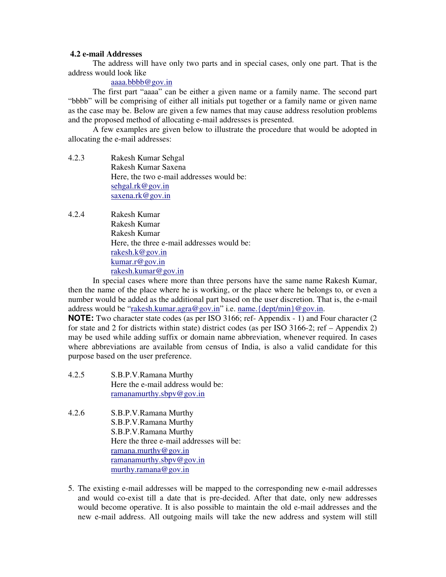### **4.2 e-mail Addresses**

The address will have only two parts and in special cases, only one part. That is the address would look like

### aaaa.bbbb@gov.in

The first part "aaaa" can be either a given name or a family name. The second part "bbbb" will be comprising of either all initials put together or a family name or given name as the case may be. Below are given a few names that may cause address resolution problems and the proposed method of allocating e-mail addresses is presented.

A few examples are given below to illustrate the procedure that would be adopted in allocating the e-mail addresses:

- 4.2.3 Rakesh Kumar Sehgal Rakesh Kumar Saxena Here, the two e-mail addresses would be: sehgal.rk@gov.in saxena.rk@gov.in
- 4.2.4 Rakesh Kumar Rakesh Kumar Rakesh Kumar Here, the three e-mail addresses would be: rakesh.k@gov.in kumar.r@gov.in rakesh.kumar@gov.in

In special cases where more than three persons have the same name Rakesh Kumar, then the name of the place where he is working, or the place where he belongs to, or even a number would be added as the additional part based on the user discretion. That is, the e-mail address would be "rakesh.kumar.agra@gov.in" i.e. name.{dept/min}@gov.in.

**NOTE:** Two character state codes (as per ISO 3166; ref-Appendix - 1) and Four character (2) for state and 2 for districts within state) district codes (as per ISO 3166-2; ref – Appendix 2) may be used while adding suffix or domain name abbreviation, whenever required. In cases where abbreviations are available from census of India, is also a valid candidate for this purpose based on the user preference.

- 4.2.5 S.B.P.V.Ramana Murthy Here the e-mail address would be: ramanamurthy.sbpv@gov.in
- 4.2.6 S.B.P.V.Ramana Murthy S.B.P.V.Ramana Murthy S.B.P.V.Ramana Murthy Here the three e-mail addresses will be: ramana.murthy@gov.in ramanamurthy.sbpv@gov.in murthy.ramana@gov.in
- 5. The existing e-mail addresses will be mapped to the corresponding new e-mail addresses and would co-exist till a date that is pre-decided. After that date, only new addresses would become operative. It is also possible to maintain the old e-mail addresses and the new e-mail address. All outgoing mails will take the new address and system will still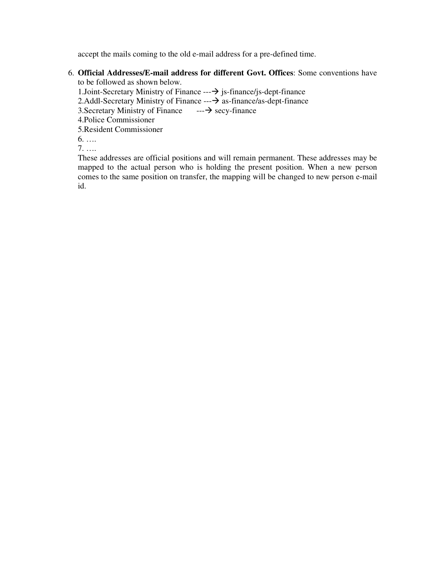accept the mails coming to the old e-mail address for a pre-defined time.

6. **Official Addresses/E-mail address for different Govt. Offices**: Some conventions have to be followed as shown below.

1. Joint-Secretary Ministry of Finance  $\rightarrow$  js-finance/js-dept-finance 2.Addl-Secretary Ministry of Finance  $\rightarrow$  as-finance/as-dept-finance 3. Secretary Ministry of Finance  $\rightarrow$  secy-finance 3. Secretary Ministry of Finance 4.Police Commissioner 5.Resident Commissioner 6. …. 7. ….

These addresses are official positions and will remain permanent. These addresses may be mapped to the actual person who is holding the present position. When a new person comes to the same position on transfer, the mapping will be changed to new person e-mail id.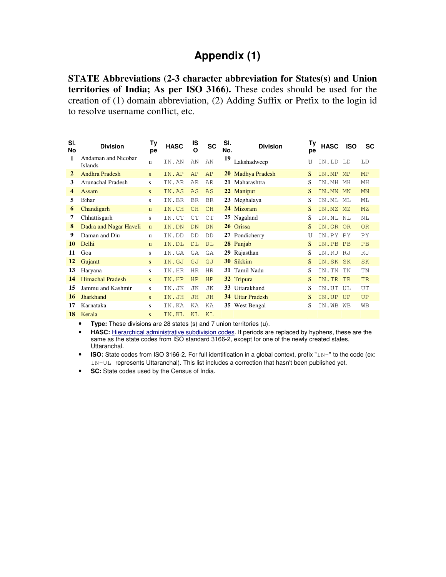## **Appendix (1)**

**STATE Abbreviations (2-3 character abbreviation for States(s) and Union territories of India; As per ISO 3166).** These codes should be used for the creation of (1) domain abbreviation, (2) Adding Suffix or Prefix to the login id to resolve username conflict, etc.

| SI.<br><b>No</b> | <b>Division</b>                       | Ty<br>pe     | <b>HASC</b> | IS<br>O   | <b>SC</b> | SI.<br>No. | <b>Division</b>         | Tγ<br>рe | <b>HASC</b> | <b>ISO</b>     | SC        |
|------------------|---------------------------------------|--------------|-------------|-----------|-----------|------------|-------------------------|----------|-------------|----------------|-----------|
| 1                | Andaman and Nicobar<br><b>Islands</b> | u            | IN.AN       | AN        | AN        | 19         | Lakshadweep             | U        | IN.LD       | T.D            | LD        |
| $\mathbf{2}$     | Andhra Pradesh                        | S            | IN.AP       | AP        | AP        |            | 20 Madhya Pradesh       | S        | IN.MP       | <b>MP</b>      | MP        |
| 3                | Arunachal Pradesh                     | s            | IN.AR       | AR        | AR        |            | 21 Maharashtra          | S        | IN.MH       | МH             | MH        |
| 4                | Assam                                 | S.           | IN.AS       | AS        | AS        |            | 22 Manipur              | S        | IN.MN       | <b>MN</b>      | <b>MN</b> |
| 5                | <b>Bihar</b>                          | S.           | IN.BR       | <b>BR</b> | <b>BR</b> |            | 23 Meghalaya            | S        | IN.ML       | MT.            | MT.       |
| 6                | Chandigarh                            | $\mathbf{u}$ | IN.CH       | CH        | CH        |            | 24 Mizoram              | S        | IN.MZ       | M <sub>7</sub> | MZ        |
| 7                | Chhattisgarh                          | S            | IN.CT       | CT        | CT        |            | 25 Nagaland             | S        | IN.NL       | NL.            | NT.       |
| 8                | Dadra and Nagar Haveli                | $\mathbf{u}$ | IN.DN       | DN        | DN        |            | 26 Orissa               | S        | IN.OR       | OR             | <b>OR</b> |
| 9                | Daman and Diu                         | u            | IN.DD       | DD        | <b>DD</b> |            | 27 Pondicherry          | U        | IN.PY       | PY             | PY        |
| 10               | Delhi                                 | $\mathbf{u}$ | IN.DL       | DT.       | DT.       |            | 28 Punjab               | S        | IN.PB       | PB             | PB        |
| 11               | Goa                                   | S.           | IN.GA       | GA        | GA        |            | 29 Rajasthan            | S        | IN.RJ       | RJ             | RJ        |
| 12               | Gujarat                               | S.           | IN.GJ       | GJ        | GJ        |            | 30 Sikkim               | S        | IN.SK SK    |                | <b>SK</b> |
| 13               | Haryana                               | S.           | IN.HR       | <b>HR</b> | HR        |            | 31 Tamil Nadu           | S        | IN.TN       | TN             | TN        |
| 14               | <b>Himachal Pradesh</b>               | S.           | IN.HP       | <b>HP</b> | HP        |            | 32 Tripura              | S        | IN.TR       | <b>TR</b>      | <b>TR</b> |
| 15               | Jammu and Kashmir                     | s            | IN.JK       | JΚ        | JK        |            | 33 Uttarakhand          | S        | IN.UT       | UL.            | UT        |
| 16               | <b>Jharkhand</b>                      | S            | IN.JH       | <b>JH</b> | <b>JH</b> |            | <b>34</b> Uttar Pradesh | S        | IN.UP       | <b>UP</b>      | UP        |
| 17               | Karnataka                             | S.           | IN.KA       | ΚA        | ΚA        |            | 35 West Bengal          | S        | IN.WB       | <b>WB</b>      | WΒ        |
| 18               | Kerala                                | S.           | IN.KL       | KI.       | KL        |            |                         |          |             |                |           |

• **Type:** These divisions are 28 states (s) and 7 union territories (u).

• **HASC:** Hierarchical administrative subdivision codes. If periods are replaced by hyphens, these are the same as the state codes from ISO standard 3166-2, except for one of the newly created states, Uttaranchal.

• **ISO:** State codes from ISO 3166-2. For full identification in a global context, prefix "IN-" to the code (ex: IN-UL represents Uttaranchal). This list includes a correction that hasn't been published yet.

• **SC:** State codes used by the Census of India.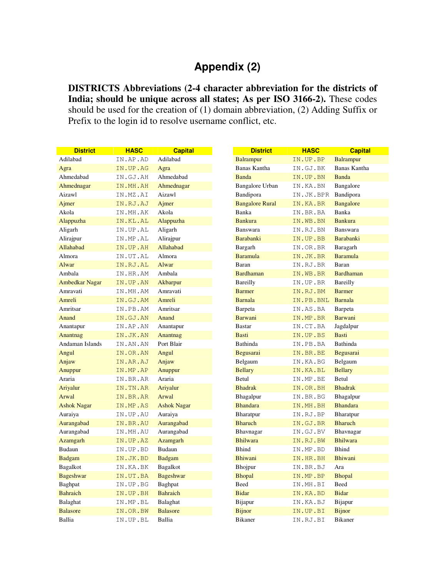## **Appendix (2)**

**DISTRICTS Abbreviations (2-4 character abbreviation for the districts of India; should be unique across all states; As per ISO 3166-2).** These codes should be used for the creation of (1) domain abbreviation, (2) Adding Suffix or Prefix to the login id to resolve username conflict, etc.

| <b>District</b>       | <b>HASC</b> | <b>Capital</b>     | <b>District</b>        | <b>HASC</b> | <b>Capital</b>   |
|-----------------------|-------------|--------------------|------------------------|-------------|------------------|
| Adilabad              | IN.AP.AD    | Adilabad           | <b>Balrampur</b>       | IN.UP.BP    | <b>Balrampur</b> |
| Agra                  | IN.UP.AG    | Agra               | Banas Kantha           | IN.GJ.BK    | Banas Kantha     |
| Ahmedabad             | IN.GJ.AH    | Ahmedabad          | Banda                  | IN.UP.BN    | Banda            |
| Ahmednagar            | IN.MH.AH    | Ahmednagar         | Bangalore Urban        | IN.KA.BN    | Bangalore        |
| Aizawl                | IN.MZ.AI    | Aizawl             | Bandipora              | IN.JK.BPR   | Bandipora        |
| Ajmer                 | IN.RJ.AJ    | Ajmer              | <b>Bangalore Rural</b> | IN.KA.BR    | <b>Bangalore</b> |
| Akola                 | IN.MH.AK    | Akola              | Banka                  | IN.BR.BA    | Banka            |
| Alappuzha             | IN.KL.AL    | Alappuzha          | <b>Bankura</b>         | IN.WB.BN    | <b>Bankura</b>   |
| Aligarh               | IN.UP.AL    | Aligarh            | Banswara               | IN.RJ.BN    | Banswara         |
| Alirajpur             | IN.MP.AL    | Alirajpur          | <b>Barabanki</b>       | IN.UP.BB    | <b>Barabanki</b> |
| Allahabad             | IN.UP.AH    | Allahabad          | Bargarh                | IN.OR.BR    | Baragarh         |
| Almora                | IN.UT.AL    | Almora             | <b>Baramula</b>        | IN.JK.BR    | <b>Baramula</b>  |
| Alwar                 | IN.RJ.AL    | Alwar              | Baran                  | IN.RJ.BR    | Baran            |
| Ambala                | IN.HR.AM    | Ambala             | <b>Bardhaman</b>       | IN.WB.BR    | <b>Bardhaman</b> |
| <b>Ambedkar Nagar</b> | IN.UP.AN    | Akbarpur           | Bareilly               | IN.UP.BR    | Bareilly         |
| Amravati              | IN.MH.AM    | Amravati           | <b>Barmer</b>          | IN.RJ.BM    | <b>Barmer</b>    |
| Amreli                | IN.GJ.AM    | Amreli             | <b>Barnala</b>         | IN.PB.BNL   | <b>Barnala</b>   |
| Amritsar              | IN.PB.AM    | Amritsar           | Barpeta                | IN.AS.BA    | Barpeta          |
| Anand                 | IN.GJ.AN    | Anand              | <b>Barwani</b>         | IN.MP.BR    | Barwani          |
| Anantapur             | IN.AP.AN    | Anantapur          | <b>Bastar</b>          | IN.CT.BA    | Jagdalpur        |
| Anantnag              | IN.JK.AN    | Anantnag           | <b>Basti</b>           | IN.UP.BS    | <b>Basti</b>     |
| Andaman Islands       | IN.AN.AN    | Port Blair         | Bathinda               | IN.PB.BA    | Bathinda         |
| Angul                 | IN.OR.AN    | Angul              | Begusarai              | IN.BR.BE    | Begusarai        |
| Anjaw                 | IN.AR.AJ    | Anjaw              | Belgaum                | IN.KA.BG    | Belgaum          |
| Anuppur               | IN.MP.AP    | Anuppur            | <b>Bellary</b>         | IN.KA.BL    | <b>Bellary</b>   |
| Araria                | IN.BR.AR    | Araria             | Betul                  | IN.MP.BE    | Betul            |
| Ariyalur              | IN.TN.AR    | Ariyalur           | <b>Bhadrak</b>         | IN.OR.BH    | <b>Bhadrak</b>   |
| Arwal                 | IN.BR.AR    | Arwal              | <b>Bhagalpur</b>       | IN.BR.BG    | Bhagalpur        |
| <b>Ashok Nagar</b>    | IN.MP.AS    | <b>Ashok Nagar</b> | <b>Bhandara</b>        | IN.MH.BH    | <b>Bhandara</b>  |
| Auraiya               | IN.UP.AU    | Auraiya            | Bharatpur              | IN.RJ.BP    | Bharatpur        |
| Aurangabad            | IN.BR.AU    | Aurangabad         | <b>Bharuch</b>         | IN.GJ.BR    | <b>Bharuch</b>   |
| Aurangabad            | IN.MH.AU    | Aurangabad         | Bhavnagar              | IN.GJ.BV    | Bhavnagar        |
| <b>Azamgarh</b>       | IN.UP.AZ    | Azamgarh           | <b>Bhilwara</b>        | IN.RJ.BW    | <b>Bhilwara</b>  |
| Budaun                | IN.UP.BD    | Budaun             | <b>Bhind</b>           | IN.MP.BD    | <b>Bhind</b>     |
| <b>Badgam</b>         | IN.JK.BD    | <b>Badgam</b>      | <b>Bhiwani</b>         | IN.HR.BH    | <b>Bhiwani</b>   |
| Bagalkot              | IN.KA.BK    | Bagalkot           | Bhojpur                | IN.BR.BJ    | Ara              |
| <b>Bageshwar</b>      | IN.UT.BA    | <b>Bageshwar</b>   | <b>Bhopal</b>          | IN.MP.BP    | <b>Bhopal</b>    |
| Baghpat               | IN.UP.BG    | Baghpat            | Beed                   | IN.MH.BI    | Beed             |
| <b>Bahraich</b>       | IN.UP.BH    | <b>Bahraich</b>    | <b>Bidar</b>           | IN.KA.BD    | <b>Bidar</b>     |
| Balaghat              | IN.MP.BL    | <b>Balaghat</b>    | Bijapur                | IN.KA.BJ    | Bijapur          |
| <b>Balasore</b>       | IN.OR.BW    | <b>Balasore</b>    | <b>Bijnor</b>          | IN.UP.BI    | <b>Bijnor</b>    |
| Ballia                | IN.UP.BL    | Ballia             | <b>Bikaner</b>         | IN.RJ.BI    | <b>Bikaner</b>   |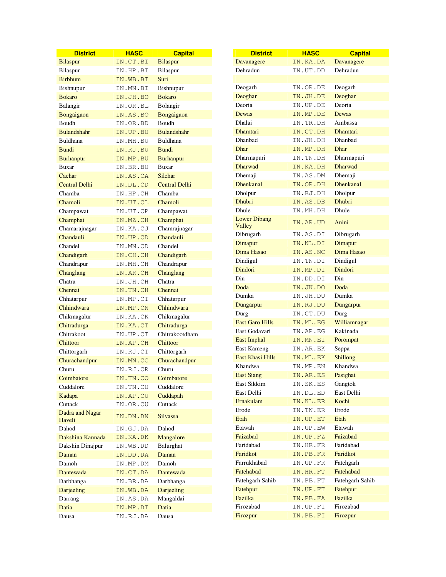| <b>District</b>      | <b>HASC</b> | <b>Capital</b>       | <b>District</b>         | <b>HASC</b>      | <b>Capital</b>   |
|----------------------|-------------|----------------------|-------------------------|------------------|------------------|
| <b>Bilaspur</b>      | IN.CT.BI    | <b>Bilaspur</b>      | Davanagere              | IN.KA.DA         | Davanagere       |
| Bilaspur             | IN.HP.BI    | Bilaspur             | Dehradun                | IN.UT.DD         | Dehradun         |
| <b>Birbhum</b>       | IN.WB.BI    | Suri                 |                         |                  |                  |
| Bishnupur            | IN.MN.BI    | Bishnupur            | Deogarh                 | IN.OR.DE         | Deogarh          |
| <b>Bokaro</b>        | IN.JH.BO    | <b>Bokaro</b>        | Deoghar                 | IN.JH.DE         | Deoghar          |
| Balangir             | IN.OR.BL    | Bolangir             | Deoria                  | IN.UP.DE         | Deoria           |
| Bongaigaon           | IN.AS.BO    | Bongaigaon           | Dewas                   | IN.MP.DE         | Dewas            |
| Boudh                | IN.OR.BD    | Boudh                | Dhalai                  | IN.TR.DH         | Ambassa          |
| <b>Bulandshahr</b>   | IN.UP.BU    | <b>Bulandshahr</b>   | <b>Dhamtari</b>         | IN.CT.DH         | <b>Dhamtari</b>  |
| Buldhana             | IN.MH.BU    | Buldhana             | Dhanbad                 | IN.JH.DH         | Dhanbad          |
| <b>Bundi</b>         | IN.RJ.BU    | <b>Bundi</b>         | Dhar                    | IN.MP.DH         | Dhar             |
| <b>Burhanpur</b>     | IN.MP.BU    | <b>Burhanpur</b>     | Dharmapuri              | IN.TN.DH         | Dharmapuri       |
| <b>Buxar</b>         | IN.BR.BU    | <b>Buxar</b>         | <b>Dharwad</b>          | IN.KA.DH         | Dharwad          |
| Cachar               | IN.AS.CA    | Silchar              | Dhemaji                 | IN.AS.DM         | Dhemaji          |
| <b>Central Delhi</b> | IN.DL.CD    | <b>Central Delhi</b> | <b>Dhenkanal</b>        | IN.OR.DH         | <b>Dhenkanal</b> |
| Chamba               | IN.HP.CH    | Chamba               | Dholpur                 | IN.RJ.DH         | Dholpur          |
| Chamoli              | IN.UT.CL    | Chamoli              | <b>Dhubri</b>           | IN.AS.DB         | <b>Dhubri</b>    |
| Champawat            | IN.UT.CP    | Champawat            | Dhule                   | IN.MH.DH         | Dhule            |
| Champhai             | IN.MZ.CH    | Champhai             | <b>Lower Dibang</b>     | IN.AR.UD         | Anini            |
| Chamarajnagar        | IN.KA.CJ    | Chamrajnagar         | Valley                  |                  |                  |
| Chandauli            | IN.UP.CD    | Chandauli            | Dibrugarh               | IN.AS.DI         | Dibrugarh        |
| Chandel              | IN.MN.CD    | Chandel              | Dimapur                 | IN.NL.DI         | Dimapur          |
| Chandigarh           | IN.CH.CH    | Chandigarh           | Dima Hasao              | IN.AS.NC         | Dima Hasao       |
| Chandrapur           | IN.MH.CH    | Chandrapur           | Dindigul                | IN.TN.DI         | Dindigul         |
| Changlang            | IN.AR.CH    | Changlang            | Dindori                 | IN.MP.DI         | Dindori          |
| Chatra               | IN.JH.CH    | Chatra               | Diu                     | ${\tt IN.DD.DI}$ | Diu              |
| Chennai              | IN.TN.CH    | Chennai              | Doda                    | IN.JK.DO         | Doda             |
| Chhatarpur           | IN.MP.CT    | Chhatarpur           | Dumka                   | IN.JH.DU         | Dumka            |
| Chhindwara           | IN.MP.CN    | Chhindwara           | Dungarpur               | IN.RJ.DU         | Dungarpur        |
| Chikmagalur          | IN.KA.CK    | Chikmagalur          | Durg                    | IN.CT.DU         | Durg             |
| Chitradurga          | IN.KA.CT    | Chitradurga          | <b>East Garo Hills</b>  | IN.ML.EG         | Williamnagar     |
| Chitrakoot           | IN.UP.CT    | Chitrakootdham       | East Godavari           | IN.AP.EG         | Kakinada         |
| Chittoor             | IN.AP.CH    | Chittoor             | <b>East Imphal</b>      | IN.MN.EI         | Porompat         |
| Chittorgarh          | IN.RJ.CT    | Chittorgarh          | East Kameng             | IN.AR.EK         | Seppa            |
| Churachandpur        | IN.MN.CC    | Churachandpur        | <b>East Khasi Hills</b> | IN.ML.EK         | Shillong         |
| Churu                | IN.RJ.CR    | Churu                | Khandwa                 | IN.MP.EN         | Khandwa          |
| Coimbatore           | IN.TN.CO    | Coimbatore           | <b>East Siang</b>       | IN.AR.ES         | Pasighat         |
| Cuddalore            | IN.TN.CU    | Cuddalore            | East Sikkim             | IN.SK.ES         | Gangtok          |
| Kadapa               | IN.AP.CU    | Cuddapah             | East Delhi              | IN.DL.ED         | East Delhi       |
| Cuttack              | IN.OR.CU    | Cuttack              | Ernakulam               | IN.KL.ER         | Kochi            |
| Dadra and Nagar      |             | Silvassa             | Erode                   | IN.TN.ER         | Erode            |
| Haveli               | IN.DN.DN    |                      | Etah                    | IN.UP.ET         | Etah             |
| Dahod                | IN.GJ.DA    | Dahod                | Etawah                  | IN.UP.EW         | Etawah           |
| Dakshina Kannada     | IN.KA.DK    | Mangalore            | Faizabad                | IN.UP.FZ         | Faizabad         |
| Dakshin Dinajpur     | IN.WB.DD    | Balurghat            | Faridabad               | IN.HR.FR         | Faridabad        |
| Daman                | IN.DD.DA    | Daman                | Faridkot                | IN.PB.FR         | Faridkot         |
| Damoh                | IN.MP.DM    | Damoh                | Farrukhabad             | IN.UP.FR         | Fatehgarh        |
| Dantewada            | IN.CT.DA    | Dantewada            | Fatehabad               | IN.HR.FT         | Fatehabad        |
| Darbhanga            | IN.BR.DA    | Darbhanga            | Fatehgarh Sahib         | IN.PB.FT         | Fatehgarh Sahib  |
| Darjeeling           | IN.WB.DA    | Darjeeling           | Fatehpur                | IN.UP.FT         | Fatehpur         |
| Darrang              | IN.AS.DA    | Mangaldai            | Fazilka                 | IN.PB.FA         | Fazilka          |
| Datia                | IN.MP.DT    | Datia                | Firozabad               | IN.UP.FI         | Firozabad        |
| Dausa                | IN.RJ.DA    | Dausa                | Firozpur                | IN.PB.FI         | Firozpur         |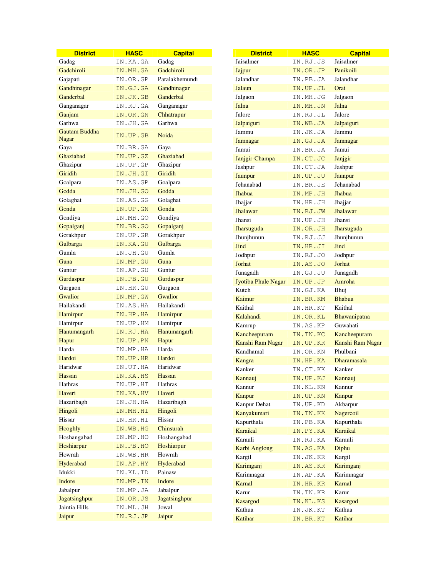| <b>District</b>                      | <b>HASC</b> | <b>Capital</b> | <b>District</b>      | <b>HASC</b> | <b>Capital</b>       |
|--------------------------------------|-------------|----------------|----------------------|-------------|----------------------|
| Gadag                                | IN.KA.GA    | Gadag          | Jaisalmer            | IN.RJ.JS    | Jaisalmer            |
| Gadchiroli                           | IN.MH.GA    | Gadchiroli     | Jajpur               | IN.OR.JP    | Panikoili            |
| Gajapati                             | IN.OR.GP    | Paralakhemundi | Jalandhar            | IN.PB.JA    | Jalandhar            |
| Gandhinagar                          | IN.GJ.GA    | Gandhinagar    | Jalaun               | IN.UP.JL    | Orai                 |
| Ganderbal                            | IN.JK.GB    | Ganderbal      | Jalgaon              | IN.MH.JG    | Jalgaon              |
| Ganganagar                           | IN.RJ.GA    | Ganganagar     | Jalna                | IN.MH.JN    | Jalna                |
| Ganjam                               | IN.OR.GN    | Chhatrapur     | Jalore               | IN.RJ.JL    | Jalore               |
| Garhwa                               | IN.JH.GA    | Garhwa         | Jalpaiguri           | IN.WB.JA    | Jalpaiguri           |
| <b>Gautam Buddha</b><br><b>Nagar</b> | IN.UP.GB    | Noida          | Jammu                | IN.JK.JA    | Jammu                |
| Gaya                                 | IN.BR.GA    | Gaya           | Jamnagar             | IN.GJ.JA    | Jamnagar             |
| Ghaziabad                            | IN.UP.GZ    | Ghaziabad      | Jamui                | IN.BR.JA    | Jamui                |
| Ghazipur                             | IN.UP.GP    | Ghazipur       | Janjgir-Champa       | IN.CT.JC    | Janjgir              |
| Giridih                              | IN.JH.GI    | Giridih        | Jashpur              | IN.CT.JA    | Jashpur              |
| Goalpara                             | IN.AS.GP    | Goalpara       | Jaunpur<br>Jehanabad | IN.UP.JU    | Jaunpur<br>Jehanabad |
| Godda                                | IN.JH.GO    | Godda          | Jhabua               | IN.BR.JE    |                      |
| Golaghat                             | IN.AS.GG    | Golaghat       |                      | IN.MP.JH    | Jhabua               |
| Gonda                                | IN.UP.GN    | Gonda          | Jhajjar<br>Jhalawar  | IN.HR.JH    | Jhajjar              |
| Gondiya                              | IN.MH.GO    | Gondiya        | Jhansi               | IN.RJ.JW    | Jhalawar<br>Jhansi   |
| Gopalganj                            | IN.BR.GO    | Gopalganj      |                      | IN.UP.JH    |                      |
| Gorakhpur                            | IN.UP.GR    | Gorakhpur      | Jharsuguda           | IN.OR.JH    | Jharsuguda           |
| Gulbarga                             | IN.KA.GU    | Gulbarga       | Jhunjhunun           | IN.RJ.JJ    | Jhunjhunun           |
| Gumla                                | IN.JH.GU    | Gumla          | Jind                 | IN.HR.JI    | Jind                 |
| Guna                                 | IN.MP.GU    | Guna           | Jodhpur              | IN.RJ.JO    | Jodhpur              |
| Guntur                               | IN.AP.GU    | Guntur         | Jorhat               | IN.AS.JO    | Jorhat               |
| Gurdaspur                            | IN.PB.GU    | Gurdaspur      | Junagadh             | IN.GJ.JU    | Junagadh             |
| Gurgaon                              | IN.HR.GU    | Gurgaon        | Jyotiba Phule Nagar  | IN.UP.JP    | Amroha               |
| Gwalior                              | IN.MP.GW    | Gwalior        | Kutch                | IN.GJ.KA    | Bhuj                 |
| Hailakandi                           | IN.AS.HA    | Hailakandi     | Kaimur               | IN.BR.KM    | <b>Bhabua</b>        |
| Hamirpur                             | IN.HP.HA    | Hamirpur       | Kaithal              | IN.HR.KT    | Kaithal              |
| Hamirpur                             | IN.UP.HM    | Hamirpur       | Kalahandi            | IN.OR.KL    | Bhawanipatna         |
| Hanumangarh                          | IN.RJ.HA    | Hanumangarh    | Kamrup               | IN.AS.KP    | Guwahati             |
| Hapur                                | IN.UP.PN    | Hapur          | Kancheepuram         | IN. TN. KC  | Kancheepuram         |
| Harda                                | IN.MP.HA    | Harda          | Kanshi Ram Nagar     | IN.UP.KR    | Kanshi Ram Nagar     |
| Hardoi                               | IN.UP.HR    | Hardoi         | Kandhamal            | IN.OR.KN    | Phulbani             |
| Haridwar                             | IN.UT.HA    | Haridwar       | Kangra               | IN.HP.KA    | Dharamasala          |
| Hassan                               | IN.KA.HS    | Hassan         | Kanker               | IN.CT.KK    | Kanker               |
| Hathras                              | IN.UP.HT    | Hathras        | Kannauj              | IN.UP.KJ    | Kannauj              |
| Haveri                               | IN.KA.HV    | Haveri         | Kannur               | IN.KL.KN    | Kannur               |
| Hazaribagh                           | IN.JH.HA    | Hazaribagh     | Kanpur               | IN.UP.KN    | Kanpur               |
| Hingoli                              | IN.MH.HI    | Hingoli        | Kanpur Dehat         | IN.UP.KD    | Akbarpur             |
| Hissar                               | IN.HR.HI    | Hissar         | Kanyakumari          | IN. TN. KK  | Nagercoil            |
| Hooghly                              | IN.WB.HG    | Chinsurah      | Kapurthala           | IN.PB.KA    | Kapurthala           |
| Hoshangabad                          | IN.MP.HO    | Hoshangabad    | Karaikal             | IN.PY.KA    | Karaikal             |
| Hoshiarpur                           | IN.PB.HO    | Hoshiarpur     | Karauli              | IN.RJ.KA    | Karauli              |
| Howrah                               | IN.WB.HR    | Howrah         | Karbi Anglong        | IN.AS.KA    | Diphu                |
| Hyderabad                            | IN.AP.HY    | Hyderabad      | Kargil               | IN.JK.KR    | Kargil               |
| Idukki                               | IN.KL.ID    | Painaw         | Karimganj            | IN.AS.KR    | Karimganj            |
| Indore                               | IN.MP.IN    | Indore         | Karimnagar           | IN.AP.KA    | Karimnagar           |
| Jabalpur                             | IN.MP.JA    | Jabalpur       | Karnal               | IN.HR.KR    | Karnal               |
| <b>Jagatsinghpur</b>                 | IN.OR.JS    | Jagatsinghpur  | Karur                | IN.TN.KR    | Karur                |
| Jaintia Hills                        | IN.ML.JH    | Jowal          | Kasargod             | IN.KL.KS    | Kasargod             |
| Jaipur                               | IN.RJ.JP    | Jaipur         | Kathua               | IN.JK.KT    | Kathua               |
|                                      |             |                | Katihar              | IN.BR.KT    | Katihar              |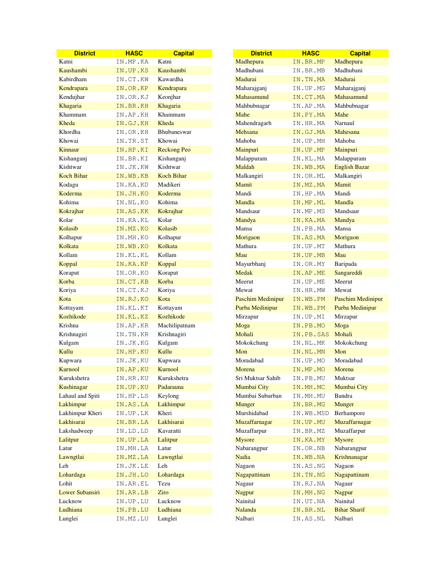| <b>District</b>   | <b>HASC</b> | <b>Capital</b>     | <b>District</b>          | <b>HASC</b> | <b>Capital</b>           |
|-------------------|-------------|--------------------|--------------------------|-------------|--------------------------|
| Katni             | IN.MP.KA    | Katni              | Madhepura                | IN.BR.MP    | Madhepura                |
| Kaushambi         | IN.UP.KS    | Kaushambi          | Madhubani                | IN.BR.MB    | Madhubani                |
| Kabirdham         | IN.CT.KW    | Kawardha           | Madurai                  | IN.TN.MA    | Madurai                  |
| Kendrapara        | IN.OR.KP    | Kendrapara         | Maharajganj              | IN.UP.MG    | Maharajganj              |
| Kendujhar         | IN.OR.KJ    | Keonjhar           | Mahasamund               | IN.CT.MA    | Mahasamund               |
| Khagaria          | IN.BR.KH    | Khagaria           | Mahbubnagar              | IN.AP.MA    | Mahbubnagar              |
| Khammam           | IN.AP.KH    | Khammam            | Mahe                     | IN.PY.MA    | Mahe                     |
| Kheda             | IN.GJ.KH    | Kheda              | Mahendragarh             | IN.HR.MA    | Narnaul                  |
| Khordha           | IN.OR.KH    | Bhubaneswar        | Mehsana                  | IN.GJ.MA    | Mahesana                 |
| Khowai            | IN.TR.ST    | Khowai             | Mahoba                   | IN.UP.MH    | Mahoba                   |
| Kinnaur           | IN.HP.KI    | <b>Reckong Peo</b> | Mainpuri                 | IN.UP.MP    | Mainpuri                 |
| Kishanganj        | IN.BR.KI    | Kishanganj         | Malappuram               | IN.KL.MA    | Malappuram               |
| Kishtwar          | IN.JK.KW    | Kishtwar           | Maldah                   | IN.WB.MA    | <b>English Bazar</b>     |
| <b>Koch Bihar</b> | IN.WB.KB    | <b>Koch Bihar</b>  | Malkangiri               | IN.OR.ML    | Malkangiri               |
| Kodagu            | IN.KA.KD    | Madikeri           | Mamit                    | IN.MZ.MA    | Mamit                    |
| Koderma           | IN.JH.KO    | Koderma            | Mandi                    | IN.HP.MA    | Mandi                    |
| Kohima            | IN.NL.KO    | Kohima             | Mandla                   | IN.MP.ML    | Mandla                   |
| Kokrajhar         | IN.AS.KK    | Kokrajhar          | Mandsaur                 | IN.MP.MS    | Mandsaur                 |
| Kolar             | IN.KA.KL    | Kolar              | Mandya                   | IN.KA.MA    | Mandya                   |
| Kolasib           | IN.MZ.KO    | Kolasib            | Mansa                    | IN.PB.MA    | Mansa                    |
| Kolhapur          | IN.MH.KO    | Kolhapur           | Morigaon                 | IN.AS.MA    | Morigaon                 |
| Kolkata           | IN.WB.KO    | Kolkata            | Mathura                  | IN.UP.MT    | Mathura                  |
| Kollam            | IN.KL.KL    | Kollam             | Mau                      | IN.UP.MB    | Mau                      |
| Koppal            | IN.KA.KP    | Koppal             | Mayurbhanj               | IN.OR.MY    | Baripada                 |
| Koraput           | IN.OR.KO    | Koraput            | Medak                    | IN.AP.ME    | Sangareddi               |
| Korba             | IN.CT.KB    | Korba              | Meerut                   | IN.UP.ME    | Meerut                   |
| Koriya            | IN.CT.KJ    | Koriya             | Mewat                    | IN.HR.MW    | Mewat                    |
| Kota              | IN.RJ.KO    | Kota               | <b>Paschim Medinipur</b> | IN.WB.PM    | <b>Paschim Medinipur</b> |
| Kottayam          | IN.KL.KT    | Kottayam           | Purba Medinipur          | IN.WB.PM    | Purba Medinipur          |
| Kozhikode         | IN.KL.KZ    | Kozhikode          | Mirzapur                 | IN.UP.MI    | Mirzapur                 |
| Krishna           | IN.AP.KR    | Machilipatnam      | Moga                     | IN.PB.MO    | Moga                     |
| Krishnagiri       | IN.TN.KR    | Krishnagiri        | Mohali                   | IN.PB.SAS   | Mohali                   |
| Kulgam            | IN.JK.KG    | Kulgam             | Mokokchung               | IN.NL.MK    | Mokokchung               |
| Kullu             | IN.HP.KU    | Kullu              | Mon                      | IN.NL.MN    | Mon                      |
| Kupwara           | IN.JK.KU    | Kupwara            | Moradabad                | IN.UP.MO    | Moradabad                |
| Kurnool           | IN.AP.KU    | Kurnool            | Morena                   | IN.MP.MO    | Morena                   |
| Kurukshetra       | IN.HR.KU    | Kurukshetra        | Sri Muktsar Sahib        | IN.PB.MU    | Muktsar                  |
| Kushinagar        | IN.UP.KU    | Padarauna          | Mumbai City              | IN.MH.MC    | Mumbai City              |
| Lahaul and Spiti  | IN.HP.LS    | Keylong            | Mumbai Suburban          | IN.MH.MU    | Bandra                   |
| Lakhimpur         | IN.AS.LA    | Lakhimpur          | <b>Munger</b>            | IN.BR.MG    | Munger                   |
| Lakhimpur Kheri   | IN.UP.LK    | Kheri              | Murshidabad              | IN.WB.MSD   | Berhampore               |
| Lakhisarai        | IN.BR.LA    | Lakhisarai         | Muzaffarnagar            | IN.UP.MU    | Muzaffarnagar            |
| Lakshadweep       | IN.LD.LD    | Kavaratti          | Muzaffarpur              | IN.BR.MZ    | Muzaffarpur              |
| Lalitpur          | IN.UP.LA    | Lalitpur           | Mysore                   | IN.KA.MY    | <b>Mysore</b>            |
| Latur             | IN.MH.LA    | Latur              | Nabarangpur              | IN.OR.NB    | Nabarangpur              |
| Lawngtlai         | IN.MZ.LA    | Lawngtlai          | Nadia                    | IN.WB.NA    | Krishnanagar             |
| Leh               | IN.JK.LE    | Leh                | Nagaon                   | IN.AS.NG    | Nagaon                   |
| Lohardaga         | IN.JH.LO    | Lohardaga          | Nagapattinam             | IN.TN.NG    | Nagapattinam             |
| Lohit             | IN.AR.EL    | Tezu               | Nagaur                   | IN.RJ.NA    | Nagaur                   |
| Lower Subansiri   | IN.AR.LB    | Ziro               | Nagpur                   | IN.MH.NG    | <b>Nagpur</b>            |
| Lucknow           | IN.UP.LU    | Lucknow            | Nainital                 | IN.UT.NA    | Nainital                 |
| Ludhiana          | IN.PB.LU    | Ludhiana           | Nalanda                  | IN.BR.NL    | <b>Bihar Sharif</b>      |
| Lunglei           | IN.MZ.LU    | Lunglei            | Nalbari                  | IN.AS.NL    | Nalbari                  |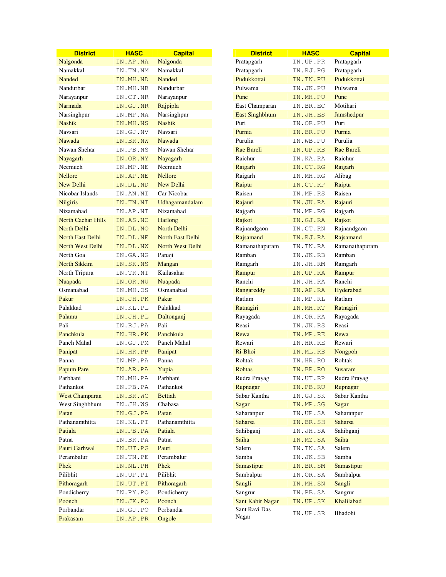| <b>District</b>           | <b>HASC</b> | <b>Capital</b>     | <b>District</b>       | <b>HASC</b> | <b>Capital</b> |
|---------------------------|-------------|--------------------|-----------------------|-------------|----------------|
| Nalgonda                  | IN.AP.NA    | Nalgonda           | Pratapgarh            | IN.UP.PR    | Pratapgarh     |
| Namakkal                  | IN.TN.NM    | Namakkal           | Pratapgarh            | IN.RJ.PG    | Pratapgarh     |
| Nanded                    | IN.MH.ND    | Nanded             | Pudukkottai           | IN. TN. PU  | Pudukkottai    |
| Nandurbar                 | IN.MH.NB    | Nandurbar          | Pulwama               | IN.JK.PU    | Pulwama        |
| Narayanpur                | IN.CT.NR    | Narayanpur         | Pune                  | IN.MH.PU    | Pune           |
| Narmada                   | IN.GJ.NR    | Rajpipla           | East Champaran        | IN.BR.EC    | Motihari       |
| Narsinghpur               | IN.MP.NA    | Narsinghpur        | <b>East Singhbhum</b> | IN.JH.ES    | Jamshedpur     |
| <b>Nashik</b>             | IN.MH.NS    | <b>Nashik</b>      | Puri                  | IN.OR.PU    | Puri           |
| Navsari                   | IN.GJ.NV    | Navsari            | Purnia                | IN.BR.PU    | Purnia         |
| Nawada                    | IN.BR.NW    | Nawada             | Purulia               | IN.WB.PU    | Purulia        |
| Nawan Shehar              | IN.PB.NS    | Nawan Shehar       | Rae Bareli            | IN.UP.RB    | Rae Bareli     |
| Nayagarh                  | IN.OR.NY    | Nayagarh           | Raichur               | IN.KA.RA    | Raichur        |
| Neemuch                   | IN.MP.NE    | Neemuch            | Raigarh               | IN.CT.RG    | Raigarh        |
| <b>Nellore</b>            | IN.AP.NE    | <b>Nellore</b>     | Raigarh               | IN.MH.RG    | Alibag         |
| New Delhi                 | IN.DL.ND    | New Delhi          | Raipur                | IN.CT.RP    | Raipur         |
| Nicobar Islands           | IN.AN.NI    | Car Nicobar        | Raisen                | IN.MP.RS    | Raisen         |
| <b>Nilgiris</b>           | IN.TN.NI    | Udhagamandalam     | Rajauri               | IN.JK.RA    | Rajauri        |
| Nizamabad                 | IN.AP.NI    | Nizamabad          | Rajgarh               | IN.MP.RG    | Rajgarh        |
| <b>North Cachar Hills</b> | IN.AS.NC    | Haflong            | Rajkot                | IN.GJ.RA    | Rajkot         |
| <b>North Delhi</b>        | IN.DL.NO    | <b>North Delhi</b> | Rajnandgaon           | IN.CT.RN    | Rajnandgaon    |
| North East Delhi          | IN.DL.NE    | North East Delhi   | Rajsamand             | IN.RJ.RA    | Rajsamand      |
| North West Delhi          | IN.DL.NW    | North West Delhi   | Ramanathapuram        | IN.TN.RA    | Ramanathapuram |
| North Goa                 | IN.GA.NG    | Panaji             | Ramban                | IN.JK.RB    | Ramban         |
| <b>North Sikkim</b>       | IN.SK.NS    | Mangan             | Ramgarh               | IN.JH.RM    | Ramgarh        |
| North Tripura             | IN.TR.NT    | Kailasahar         | Rampur                | IN.UP.RA    | Rampur         |
| Nuapada                   | IN.OR.NU    | Nuapada            | Ranchi                | IN.JH.RA    | Ranchi         |
| Osmanabad                 | IN.MH.OS    | Osmanabad          | Rangareddy            | IN.AP.RA    | Hyderabad      |
| Pakur                     | IN.JH.PK    | Pakur              | Ratlam                | IN.MP.RL    | Ratlam         |
| Palakkad                  | IN.KL.PL    | Palakkad           | Ratnagiri             | IN.MH.RT    | Ratnagiri      |
| Palamu                    | IN.JH.PL    | Daltonganj         | Rayagada              | IN.OR.RA    | Rayagada       |
| Pali                      | IN.RJ.PA    | Pali               | Reasi                 | IN.JK.RS    | Reasi          |
| Panchkula                 | IN.HR.PK    | Panchkula          | Rewa                  | IN.MP.RE    | Rewa           |
| Panch Mahal               | IN.GJ.PM    | Panch Mahal        | Rewari                | IN.HR.RE    | Rewari         |
| Panipat                   | IN.HR.PP    | Panipat            | Ri-Bhoi               | IN.ML.RB    | Nongpoh        |
| Panna                     | IN.MP.PA    | Panna              | Rohtak                | IN.HR.RO    | Rohtak         |
| <b>Papum Pare</b>         | IN.AR.PA    | Yupia              | Rohtas                | IN.BR.RO    | Susaram        |
| Parbhani                  | IN.MH.PA    | Parbhani           | Rudra Prayag          | IN.UT.RP    | Rudra Prayag   |
| Pathankot                 | IN.PB.PA    | Pathankot          | Rupnagar              | IN.PB.RU    | Rupnagar       |
| <b>West Champaran</b>     | IN.BR.WC    | <b>Bettiah</b>     | Sabar Kantha          | IN.GJ.SK    | Sabar Kantha   |
| West Singhbhum            | IN.JH.WS    | Chabasa            | Sagar                 | IN.MP.SG    | Sagar          |
| Patan                     | IN.GJ.PA    | Patan              | Saharanpur            | IN.UP.SA    | Saharanpur     |
| Pathanamthitta            | IN.KL.PT    | Pathanamthitta     | <b>Saharsa</b>        | IN.BR.SH    | <b>Saharsa</b> |
| Patiala                   | IN.PB.PA    | Patiala            | Sahibganj             | IN.JH.SA    | Sahibganj      |
| Patna                     | IN.BR.PA    | Patna              | Saiha                 | IN.MZ.SA    | Saiha          |
| Pauri Garhwal             | IN.UT.PG    | Pauri              | Salem                 | IN.TN.SA    | Salem          |
| Perambalur                | IN.TN.PE    | Perambalur         | Samba                 | IN.JK.SB    | Samba          |
| Phek                      | IN.NL.PH    | Phek               | Samastipur            | IN.BR.SM    | Samastipur     |
| Pilibhit                  | IN.UP.PI    | Pilibhit           | Sambalpur             | IN.OR.SA    | Sambalpur      |
| Pithoragarh               | IN.UT.PI    | Pithoragarh        | Sangli                | IN.MH.SN    | Sangli         |
| Pondicherry               | IN.PY.PO    | Pondicherry        | Sangrur               | IN.PB.SA    | Sangrur        |
| Poonch                    | IN.JK.PO    | Poonch             | Sant Kabir Nagar      | IN.UP.SK    | Khalilabad     |
| Porbandar                 | IN.GJ.PO    | Porbandar          | Sant Ravi Das         | IN.UP.SR    | Bhadohi        |
| Prakasam                  | IN.AP.PR    | Ongole             | Nagar                 |             |                |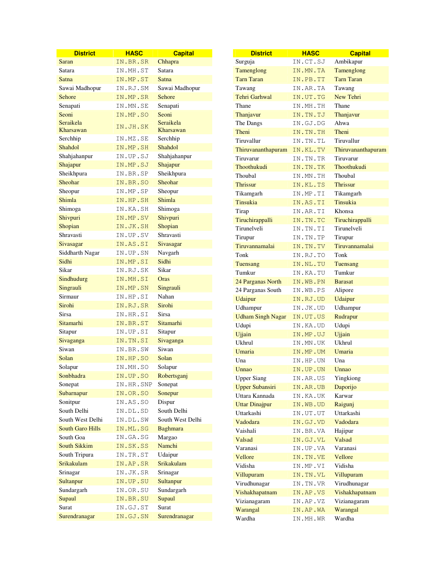| <b>District</b>         | <b>HASC</b> | <b>Capital</b>    | <b>District</b>          | <b>HASC</b> | <b>Capital</b>     |
|-------------------------|-------------|-------------------|--------------------------|-------------|--------------------|
| <b>Saran</b>            | IN.BR.SR    | Chhapra           | Surguja                  | IN.CT.SJ    | Ambikapur          |
| Satara                  | IN.MH.ST    | Satara            | Tamenglong               | IN.MN.TA    | Tamenglong         |
| Satna                   | IN.MP.ST    | Satna             | <b>Tarn Taran</b>        | IN.PB.TT    | <b>Tarn Taran</b>  |
| Sawai Madhopur          | IN.RJ.SM    | Sawai Madhopur    | Tawang                   | IN.AR.TA    | Tawang             |
| Sehore                  | IN.MP.SR    | Sehore            | Tehri Garhwal            | IN.UT.TG    | New Tehri          |
| Senapati                | IN.MN.SE    | Senapati          | Thane                    | IN.MH.TH    | Thane              |
| Seoni                   | IN.MP.SO    | Seoni             | Thanjavur                | IN.TN.TJ    | Thanjavur          |
| Seraikela               | IN.JH.SK    | Seraikela         | The Dangs                | IN.GJ.DG    | Ahwa               |
| Kharsawan               |             | Kharsawan         | Theni                    | IN.TN.TH    | Theni              |
| Serchhip                | IN.MZ.SE    | Serchhip          | Tiruvallur               | IN.TN.TL    | Tiruvallur         |
| Shahdol                 | IN.MP.SH    | Shahdol           | Thiruvananthapuram       | IN.KL.TV    | Thiruvananthapuram |
| Shahjahanpur            | IN.UP.SJ    | Shahjahanpur      | Tiruvarur                | IN.TN.TR    | Tiruvarur          |
| Shajapur                | IN.MP.SJ    | Shajapur          | Thoothukudi              | IN. TN. TK  | Thoothukudi        |
| Sheikhpura              | IN.BR.SP    | Sheikhpura        | Thoubal                  | IN.MN.TH    | Thoubal            |
| Sheohar                 | IN.BR.SO    | Sheohar           | Thrissur                 | IN.KL.TS    | <b>Thrissur</b>    |
| Sheopur                 | IN.MP.SP    | Sheopur           | Tikamgarh                | IN.MP.TI    | Tikamgarh          |
| Shimla                  | IN.HP.SH    | Shimla            | <b>Tinsukia</b>          | IN.AS.TI    | Tinsukia           |
| Shimoga                 | IN.KA.SH    | Shimoga           | Tirap                    | IN.AR.TI    | Khonsa             |
| Shivpuri                | IN.MP.SV    | Shivpuri          | Tiruchirappalli          | IN.TN.TC    | Tiruchirappalli    |
| Shopian                 | IN.JK.SH    | Shopian           | Tirunelveli              | IN.TN.TI    | Tirunelveli        |
| Shravasti               | IN.UP.SV    | Shravasti         | Tirupur                  | IN.TN.TP    | Tirupur            |
| Sivasagar               | IN.AS.SI    | Sivasagar         | Tiruvannamalai           | IN.TN.TV    | Tiruvannamalai     |
| Siddharth Nagar         | IN.UP.SN    | Navgarh           | Tonk                     | IN.RJ.TO    | Tonk               |
| Sidhi                   | IN.MP.SI    | Sidhi             | Tuensang                 | IN.NL.TU    | Tuensang           |
| Sikar                   | IN.RJ.SK    | Sikar             | Tumkur                   | IN.KA.TU    | Tumkur             |
| Sindhudurg              | IN.MH.SI    | Oras              | 24 Parganas North        | IN.WB.PN    | <b>Barasat</b>     |
| Singrauli               | IN.MP.SN    | Singrauli         | 24 Parganas South        | IN.WB.PS    | Alipore            |
| Sirmaur                 | IN.HP.SI    | Nahan             | Udaipur                  | IN.RJ.UD    | Udaipur            |
| Sirohi                  | IN.RJ.SR    | Sirohi            | Udhampur                 | IN.JK.UD    | Udhampur           |
| Sirsa                   | IN.HR.SI    | Sirsa             | <b>Udham Singh Nagar</b> | IN.UT.US    | Rudrapur           |
| Sitamarhi               | IN.BR.ST    | Sitamarhi         | Udupi                    | IN.KA.UD    | Udupi              |
| Sitapur                 | IN.UP.SI    | Sitapur           | Ujjain                   | IN.MP.UJ    | Ujjain             |
| Sivaganga               | IN.TN.SI    | Sivaganga         | Ukhrul                   | IN.MN.UK    | Ukhrul             |
| Siwan                   | IN.BR.SW    | Siwan             | Umaria                   | IN.MP.UM    | Umaria             |
| Solan                   | IN.HP.SO    | Solan             | Una                      | IN.HP.UN    | Una                |
| Solapur                 | IN.MH.SO    | Solapur           | Unnao                    | IN.UP.UN    | Unnao              |
| Sonbhadra               | IN.UP.SO    | Robertsganj       | <b>Upper Siang</b>       | IN.AR.US    | Yingkiong          |
| Sonepat                 | IN.HR.SNP   | Sonepat           | <b>Upper Subansiri</b>   |             | Daporijo           |
| Subarnapur              | IN.OR.SO    | Sonepur           | Uttara Kannada           | IN.AR.UB    | Karwar             |
| Sonitpur                | IN.AS.SO    | Dispur            | <b>Uttar Dinajpur</b>    | IN.KA.UK    |                    |
| South Delhi             | IN.DL.SD    | South Delhi       |                          | IN.WB.UD    | Raigunj            |
| South West Delhi        | IN.DL.SW    | South West Delhi  | Uttarkashi               | IN.UT.UT    | Uttarkashi         |
| <b>South Garo Hills</b> | IN.ML.SG    | <b>Baghmara</b>   | Vadodara                 | IN.GJ.VD    | Vadodara           |
| South Goa               | IN.GA.SG    | Margao            | Vaishali                 | IN.BR.VA    | Hajipur            |
| <b>South Sikkim</b>     | IN.SK.SS    | Namchi            | Valsad                   | IN.GJ.VL    | Valsad             |
| South Tripura           | IN.TR.ST    | Udaipur           | Varanasi                 | IN.UP.VA    | Varanasi           |
| <b>Srikakulam</b>       | IN.AP.SR    | <b>Srikakulam</b> | Vellore                  | IN.TN.VE    | Vellore            |
| Srinagar                | IN.JK.SR    | Srinagar          | Vidisha                  | IN.MP.VI    | Vidisha            |
| Sultanpur               | IN.UP.SU    | Sultanpur         | Villupuram               | IN.TN.VL    | Villupuram         |
| Sundargarh              | IN.OR.SU    | Sundargarh        | Virudhunagar             | IN.TN.VR    | Virudhunagar       |
| Supaul                  | IN.BR.SU    | Supaul            | Vishakhapatnam           | IN.AP.VS    | Vishakhapatnam     |
| Surat                   | IN.GJ.ST    | Surat             | Vizianagaram             | IN.AP.VZ    | Vizianagaram       |
|                         |             |                   | Warangal                 | IN.AP.WA    | Warangal           |
| Surendranagar           | IN.GJ.SN    | Surendranagar     | Wardha                   | IN.MH.WR    | Wardha             |